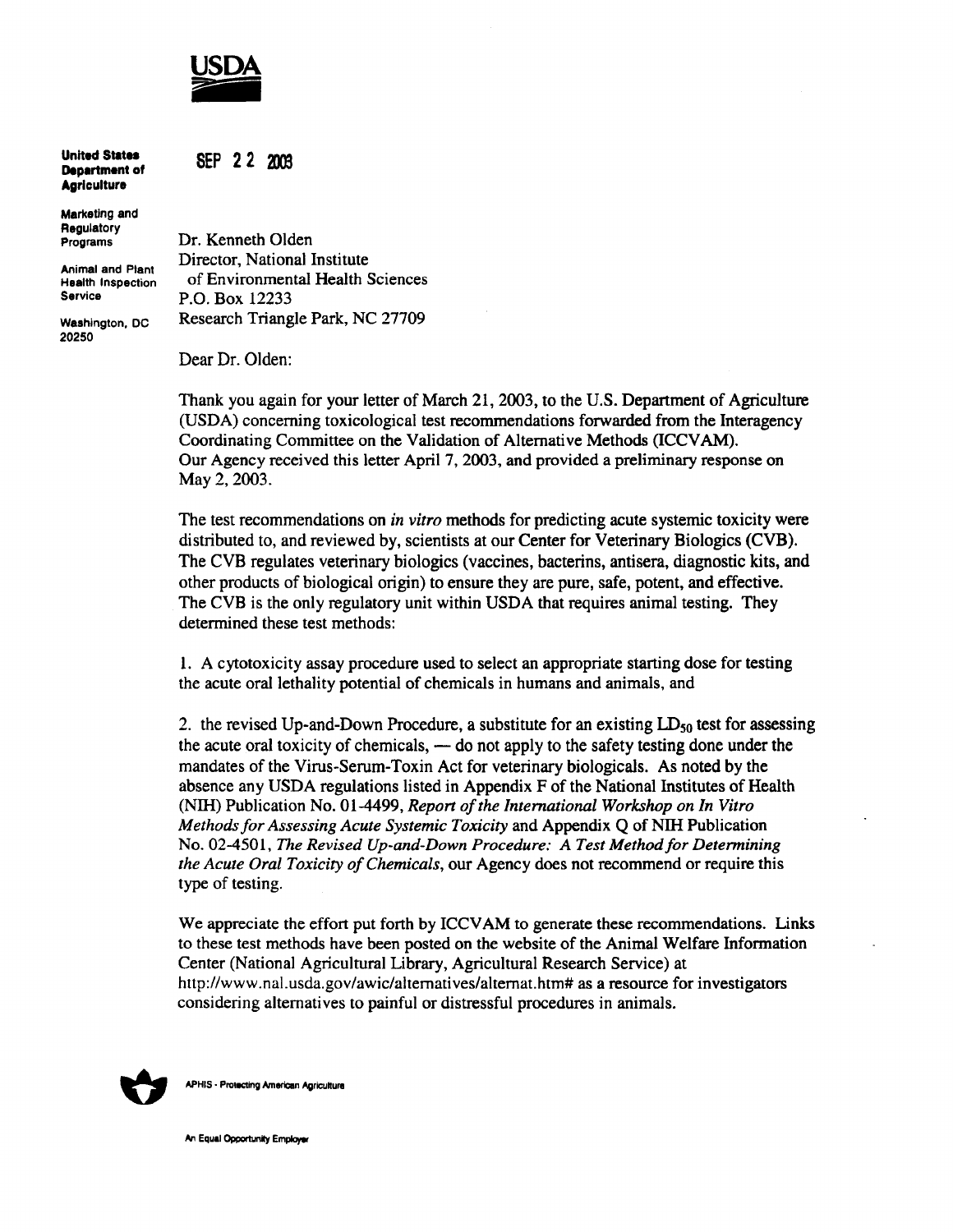

**SEP 22 2003** 

**United States Department of Agriculture** 

Marketing and **Regulatory** Programs

Animal and Plant Health Inspection **Service** 

Washington, DC 20250

Dr. Kenneth Olden Director, National Institute of Environmental Health Sciences P.O. Box 12233 Research Triangle Park, NC 27709

Dear Dr. Olden:

Thank you again for your letter of March 21, 2003, to the U.S. Department of Agriculture (USDA) concerning toxicological test recommendations forwarded from the Interagency Coordinating Committee on the Validation of Alternative Methods (ICCV AM). Our Agency received this letter April 7, 2003, and provided a preliminary response on May 2, 2003.

The test recommendations on *in vitro* methods for predicting acute systemic toxicity were distributed to, and reviewed by, scientists at our Center for Veterinary Biologics (CVB). The CVB regulates veterinary biologics (vaccines, bacterins, antisera, diagnostic kits, and other products of biological origin) to ensure they are pure, safe, potent, and effective. The CVB is the only regulatory unit within USDA that requires animal testing. They determined these test methods:

1. A cytotoxicity assay procedure used to select an appropriate starting dose for testing the acute oral lethality potential of chemicals in humans and animals, and

2. the revised Up-and-Down Procedure, a substitute for an existing  $LD_{50}$  test for assessing the acute oral toxicity of chemicals, — do not apply to the safety testing done under the mandates of the Virus-Serum-Toxin Act for veterinary biologicals. As noted by the absence any USDA regulations listed in Appendix F of the National Institutes of Health (NIH) Publication No. 01-4499, *Report ofthe International Workshop on In Vitro Methods for Assessing Acute Systemic Toxicity* and Appendix Q of NIH Publication No. 02-4501, *The Revised Up-and-Down Procedure: A Test Methodfor Detennining the Acute Oral Toxicity of Chemicals, our Agency does not recommend or require this* type of testing.

We appreciate the effort put forth by ICCVAM to generate these recommendations. Links to these test methods have been posted on the website of the Animal Welfare Information Center (National Agricultural Library, Agricultural Research Service) at http://www.nal.usda.gov/awic/alternatives/alternat.htm# as a resource for investigators considering alternatives to painful or distressful procedures in animals.



**APHIS - Protecting American Agriculture** 

An Equal Opportunity Employer